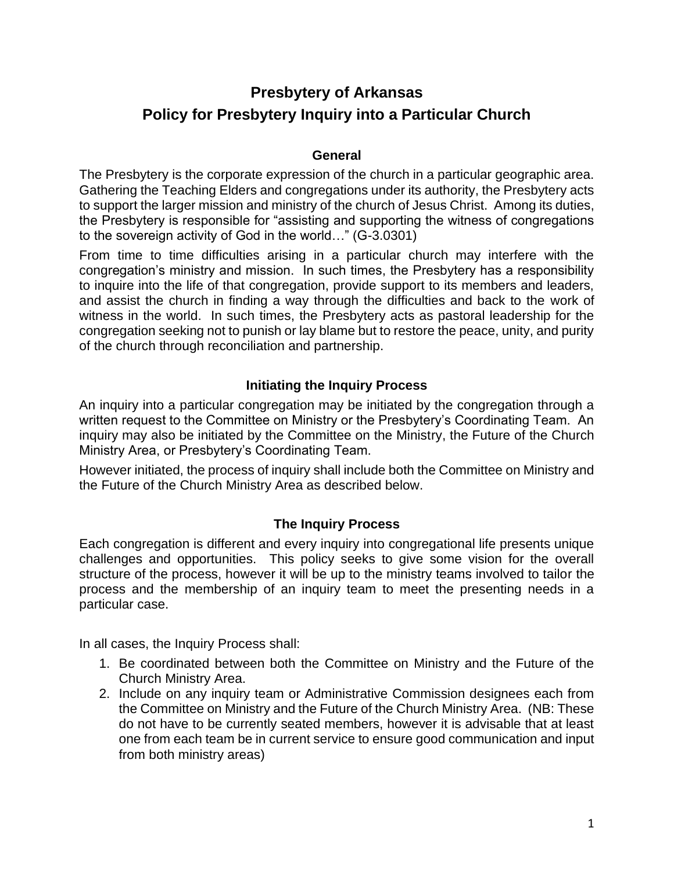# **Presbytery of Arkansas Policy for Presbytery Inquiry into a Particular Church**

#### **General**

The Presbytery is the corporate expression of the church in a particular geographic area. Gathering the Teaching Elders and congregations under its authority, the Presbytery acts to support the larger mission and ministry of the church of Jesus Christ. Among its duties, the Presbytery is responsible for "assisting and supporting the witness of congregations to the sovereign activity of God in the world…" (G-3.0301)

From time to time difficulties arising in a particular church may interfere with the congregation's ministry and mission. In such times, the Presbytery has a responsibility to inquire into the life of that congregation, provide support to its members and leaders, and assist the church in finding a way through the difficulties and back to the work of witness in the world. In such times, the Presbytery acts as pastoral leadership for the congregation seeking not to punish or lay blame but to restore the peace, unity, and purity of the church through reconciliation and partnership.

## **Initiating the Inquiry Process**

An inquiry into a particular congregation may be initiated by the congregation through a written request to the Committee on Ministry or the Presbytery's Coordinating Team. An inquiry may also be initiated by the Committee on the Ministry, the Future of the Church Ministry Area, or Presbytery's Coordinating Team.

However initiated, the process of inquiry shall include both the Committee on Ministry and the Future of the Church Ministry Area as described below.

#### **The Inquiry Process**

Each congregation is different and every inquiry into congregational life presents unique challenges and opportunities. This policy seeks to give some vision for the overall structure of the process, however it will be up to the ministry teams involved to tailor the process and the membership of an inquiry team to meet the presenting needs in a particular case.

In all cases, the Inquiry Process shall:

- 1. Be coordinated between both the Committee on Ministry and the Future of the Church Ministry Area.
- 2. Include on any inquiry team or Administrative Commission designees each from the Committee on Ministry and the Future of the Church Ministry Area. (NB: These do not have to be currently seated members, however it is advisable that at least one from each team be in current service to ensure good communication and input from both ministry areas)